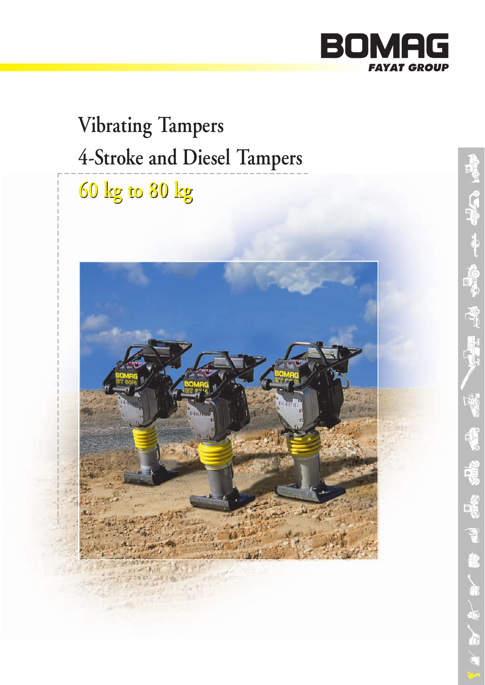

# **60 kg to 80 kg 60 kg to 80 kgVibrating Tampers 4-Stroke and Diesel Tampers**

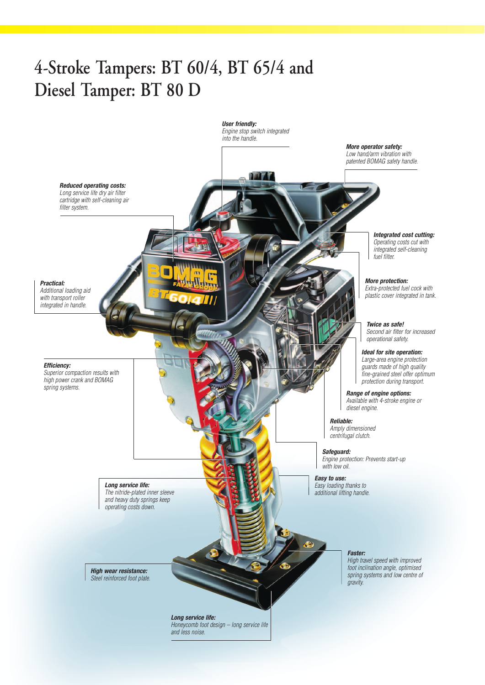# **4-Stroke Tampers: BT 60/4, BT 65/4 and Diesel Tamper: BT 80 D**

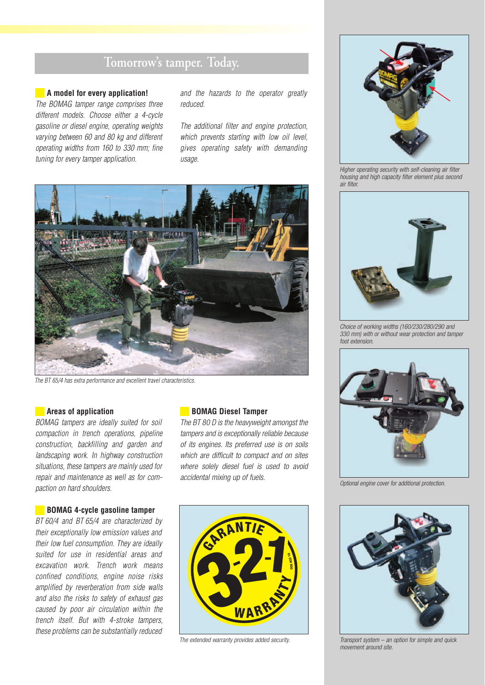### **Tomorrow's tamper. Today.**

#### **A model for every application!**

*The BOMAG tamper range comprises three different models. Choose either a 4-cycle gasoline or diesel engine, operating weights varying between 60 and 80 kg and different operating widths from 160 to 330 mm; fine tuning for every tamper application.*

*and the hazards to the operator greatly reduced.*

*The additional filter and engine protection, which prevents starting with low oil level, gives operating safety with demanding usage.*



*The BT 65/4 has extra performance and excellent travel characteristics.*

#### **Areas of application**

*BOMAG tampers are ideally suited for soil compaction in trench operations, pipeline construction, backfilling and garden and landscaping work. In highway construction situations, these tampers are mainly used for repair and maintenance as well as for compaction on hard shoulders.*

#### **BOMAG 4-cycle gasoline tamper**

*BT 60/4 and BT 65/4 are characterized by their exceptionally low emission values and their low fuel consumption. They are ideally suited for use in residential areas and excavation work. Trench work means confined conditions, engine noise risks amplified by reverberation from side walls and also the risks to safety of exhaust gas caused by poor air circulation within the trench itself. But with 4-stroke tampers, these problems can be substantially reduced*

#### **BOMAG Diesel Tamper**

*The BT 80 D is the heavyweight amongst the tampers and is exceptionally reliable because of its engines. Its preferred use is on soils which are difficult to compact and on sites where solely diesel fuel is used to avoid accidental mixing up of fuels.*



*The extended warranty provides added security.*



*Higher operating security with self-cleaning air filter housing and high capacity filter element plus second air filter.*



*Choice of working widths (160/230/280/290 and 330 mm) with or without wear protection and tamper foot extension.*



*Optional engine cover for additional protection.*



*Transport system – an option for simple and quick movement around site.*